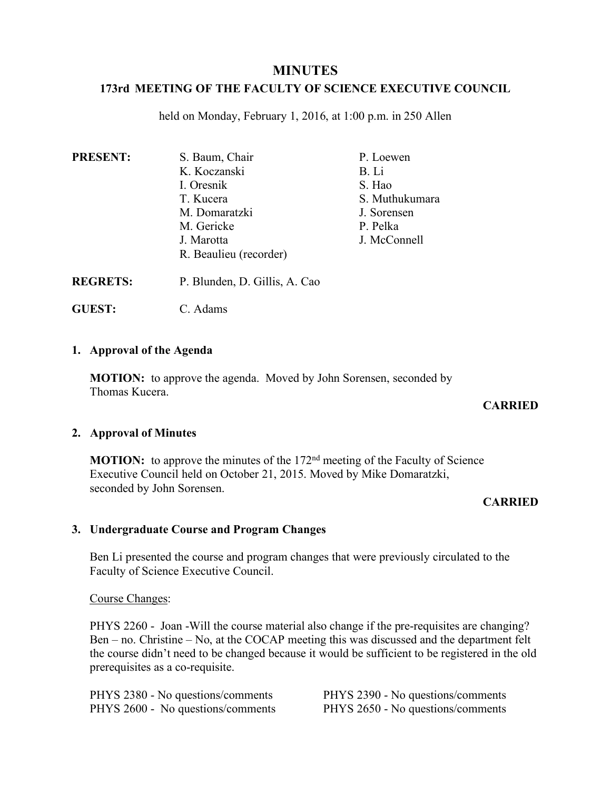# **MINUTES**

# **173rd MEETING OF THE FACULTY OF SCIENCE EXECUTIVE COUNCIL**

held on Monday, February 1, 2016, at 1:00 p.m. in 250 Allen

| <b>PRESENT:</b> | S. Baum, Chair         | P. Loewen      |
|-----------------|------------------------|----------------|
|                 | K. Koczanski           | B. Li          |
|                 | I. Oresnik             | S. Hao         |
|                 | T. Kucera              | S. Muthukumara |
|                 | M. Domaratzki          | J. Sorensen    |
|                 | M. Gericke             | P. Pelka       |
|                 | J. Marotta             | J. McConnell   |
|                 | R. Beaulieu (recorder) |                |
|                 |                        |                |

**REGRETS:** P. Blunden, D. Gillis, A. Cao

**GUEST:** C. Adams

## **1. Approval of the Agenda**

**MOTION:** to approve the agenda. Moved by John Sorensen, seconded by Thomas Kucera.

## **CARRIED**

# **2. Approval of Minutes**

**MOTION:** to approve the minutes of the 172<sup>nd</sup> meeting of the Faculty of Science Executive Council held on October 21, 2015. Moved by Mike Domaratzki, seconded by John Sorensen.

# **CARRIED**

# **3. Undergraduate Course and Program Changes**

Ben Li presented the course and program changes that were previously circulated to the Faculty of Science Executive Council.

Course Changes:

PHYS 2260 - Joan -Will the course material also change if the pre-requisites are changing? Ben – no. Christine – No, at the COCAP meeting this was discussed and the department felt the course didn't need to be changed because it would be sufficient to be registered in the old prerequisites as a co-requisite.

| PHYS 2380 - No questions/comments | <b>PHY</b> |
|-----------------------------------|------------|
| PHYS 2600 - No questions/comments | <b>PHY</b> |

S 2390 - No questions/comments **S** 2650 - No questions/comments